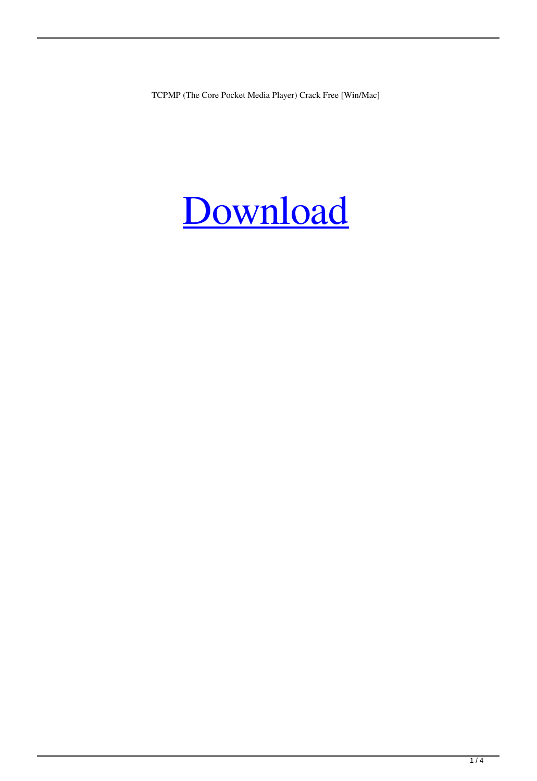TCPMP (The Core Pocket Media Player) Crack Free [Win/Mac]

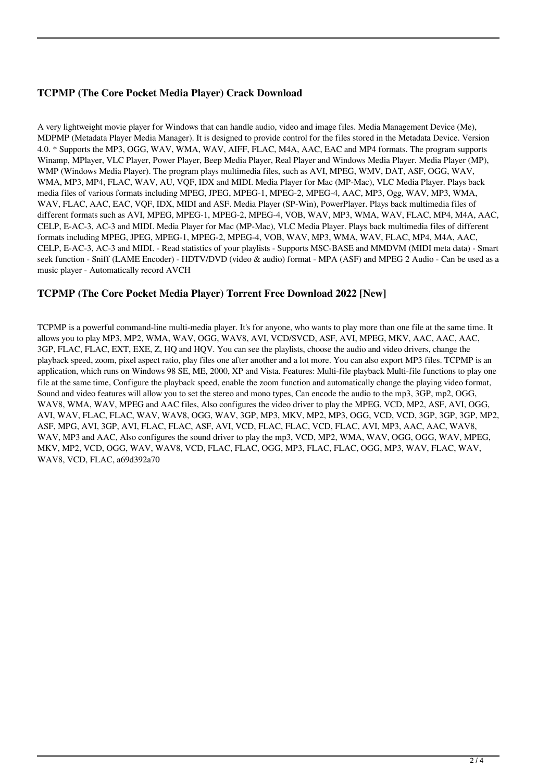### **TCPMP (The Core Pocket Media Player) Crack Download**

A very lightweight movie player for Windows that can handle audio, video and image files. Media Management Device (Me), MDPMP (Metadata Player Media Manager). It is designed to provide control for the files stored in the Metadata Device. Version 4.0. \* Supports the MP3, OGG, WAV, WMA, WAV, AIFF, FLAC, M4A, AAC, EAC and MP4 formats. The program supports Winamp, MPlayer, VLC Player, Power Player, Beep Media Player, Real Player and Windows Media Player. Media Player (MP), WMP (Windows Media Player). The program plays multimedia files, such as AVI, MPEG, WMV, DAT, ASF, OGG, WAV, WMA, MP3, MP4, FLAC, WAV, AU, VQF, IDX and MIDI. Media Player for Mac (MP-Mac), VLC Media Player. Plays back media files of various formats including MPEG, JPEG, MPEG-1, MPEG-2, MPEG-4, AAC, MP3, Ogg, WAV, MP3, WMA, WAV, FLAC, AAC, EAC, VQF, IDX, MIDI and ASF. Media Player (SP-Win), PowerPlayer. Plays back multimedia files of different formats such as AVI, MPEG, MPEG-1, MPEG-2, MPEG-4, VOB, WAV, MP3, WMA, WAV, FLAC, MP4, M4A, AAC, CELP, E-AC-3, AC-3 and MIDI. Media Player for Mac (MP-Mac), VLC Media Player. Plays back multimedia files of different formats including MPEG, JPEG, MPEG-1, MPEG-2, MPEG-4, VOB, WAV, MP3, WMA, WAV, FLAC, MP4, M4A, AAC, CELP, E-AC-3, AC-3 and MIDI. - Read statistics of your playlists - Supports MSC-BASE and MMDVM (MIDI meta data) - Smart seek function - Sniff (LAME Encoder) - HDTV/DVD (video & audio) format - MPA (ASF) and MPEG 2 Audio - Can be used as a music player - Automatically record AVCH

#### **TCPMP (The Core Pocket Media Player) Torrent Free Download 2022 [New]**

TCPMP is a powerful command-line multi-media player. It's for anyone, who wants to play more than one file at the same time. It allows you to play MP3, MP2, WMA, WAV, OGG, WAV8, AVI, VCD/SVCD, ASF, AVI, MPEG, MKV, AAC, AAC, AAC, 3GP, FLAC, FLAC, EXT, EXE, Z, HQ and HQV. You can see the playlists, choose the audio and video drivers, change the playback speed, zoom, pixel aspect ratio, play files one after another and a lot more. You can also export MP3 files. TCPMP is an application, which runs on Windows 98 SE, ME, 2000, XP and Vista. Features: Multi-file playback Multi-file functions to play one file at the same time, Configure the playback speed, enable the zoom function and automatically change the playing video format, Sound and video features will allow you to set the stereo and mono types, Can encode the audio to the mp3, 3GP, mp2, OGG, WAV8, WMA, WAV, MPEG and AAC files, Also configures the video driver to play the MPEG, VCD, MP2, ASF, AVI, OGG, AVI, WAV, FLAC, FLAC, WAV, WAV8, OGG, WAV, 3GP, MP3, MKV, MP2, MP3, OGG, VCD, VCD, 3GP, 3GP, 3GP, MP2, ASF, MPG, AVI, 3GP, AVI, FLAC, FLAC, ASF, AVI, VCD, FLAC, FLAC, VCD, FLAC, AVI, MP3, AAC, AAC, WAV8, WAV, MP3 and AAC, Also configures the sound driver to play the mp3, VCD, MP2, WMA, WAV, OGG, OGG, WAV, MPEG, MKV, MP2, VCD, OGG, WAV, WAV8, VCD, FLAC, FLAC, OGG, MP3, FLAC, FLAC, OGG, MP3, WAV, FLAC, WAV, WAV8, VCD, FLAC, a69d392a70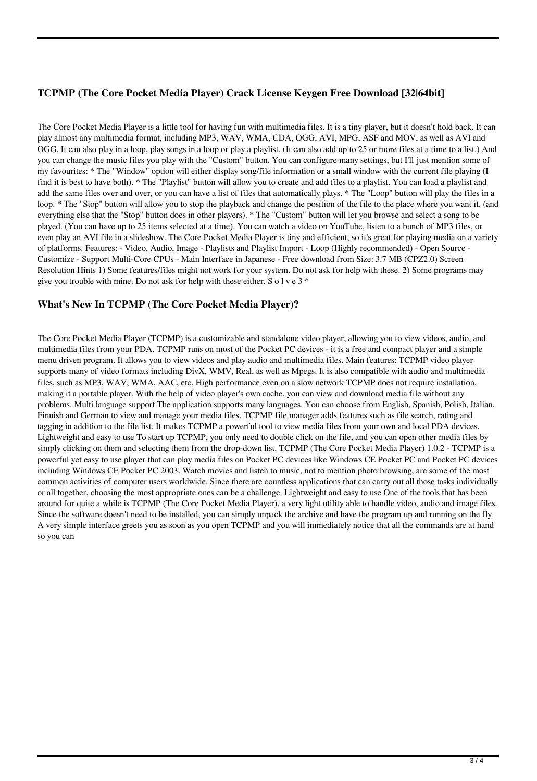## **TCPMP (The Core Pocket Media Player) Crack License Keygen Free Download [32|64bit]**

The Core Pocket Media Player is a little tool for having fun with multimedia files. It is a tiny player, but it doesn't hold back. It can play almost any multimedia format, including MP3, WAV, WMA, CDA, OGG, AVI, MPG, ASF and MOV, as well as AVI and OGG. It can also play in a loop, play songs in a loop or play a playlist. (It can also add up to 25 or more files at a time to a list.) And you can change the music files you play with the "Custom" button. You can configure many settings, but I'll just mention some of my favourites: \* The "Window" option will either display song/file information or a small window with the current file playing (I find it is best to have both). \* The "Playlist" button will allow you to create and add files to a playlist. You can load a playlist and add the same files over and over, or you can have a list of files that automatically plays. \* The "Loop" button will play the files in a loop. \* The "Stop" button will allow you to stop the playback and change the position of the file to the place where you want it. (and everything else that the "Stop" button does in other players). \* The "Custom" button will let you browse and select a song to be played. (You can have up to 25 items selected at a time). You can watch a video on YouTube, listen to a bunch of MP3 files, or even play an AVI file in a slideshow. The Core Pocket Media Player is tiny and efficient, so it's great for playing media on a variety of platforms. Features: - Video, Audio, Image - Playlists and Playlist Import - Loop (Highly recommended) - Open Source - Customize - Support Multi-Core CPUs - Main Interface in Japanese - Free download from Size: 3.7 MB (CPZ2.0) Screen Resolution Hints 1) Some features/files might not work for your system. Do not ask for help with these. 2) Some programs may give you trouble with mine. Do not ask for help with these either. S o l v e  $3 *$ 

#### **What's New In TCPMP (The Core Pocket Media Player)?**

The Core Pocket Media Player (TCPMP) is a customizable and standalone video player, allowing you to view videos, audio, and multimedia files from your PDA. TCPMP runs on most of the Pocket PC devices - it is a free and compact player and a simple menu driven program. It allows you to view videos and play audio and multimedia files. Main features: TCPMP video player supports many of video formats including DivX, WMV, Real, as well as Mpegs. It is also compatible with audio and multimedia files, such as MP3, WAV, WMA, AAC, etc. High performance even on a slow network TCPMP does not require installation, making it a portable player. With the help of video player's own cache, you can view and download media file without any problems. Multi language support The application supports many languages. You can choose from English, Spanish, Polish, Italian, Finnish and German to view and manage your media files. TCPMP file manager adds features such as file search, rating and tagging in addition to the file list. It makes TCPMP a powerful tool to view media files from your own and local PDA devices. Lightweight and easy to use To start up TCPMP, you only need to double click on the file, and you can open other media files by simply clicking on them and selecting them from the drop-down list. TCPMP (The Core Pocket Media Player) 1.0.2 - TCPMP is a powerful yet easy to use player that can play media files on Pocket PC devices like Windows CE Pocket PC and Pocket PC devices including Windows CE Pocket PC 2003. Watch movies and listen to music, not to mention photo browsing, are some of the most common activities of computer users worldwide. Since there are countless applications that can carry out all those tasks individually or all together, choosing the most appropriate ones can be a challenge. Lightweight and easy to use One of the tools that has been around for quite a while is TCPMP (The Core Pocket Media Player), a very light utility able to handle video, audio and image files. Since the software doesn't need to be installed, you can simply unpack the archive and have the program up and running on the fly. A very simple interface greets you as soon as you open TCPMP and you will immediately notice that all the commands are at hand so you can